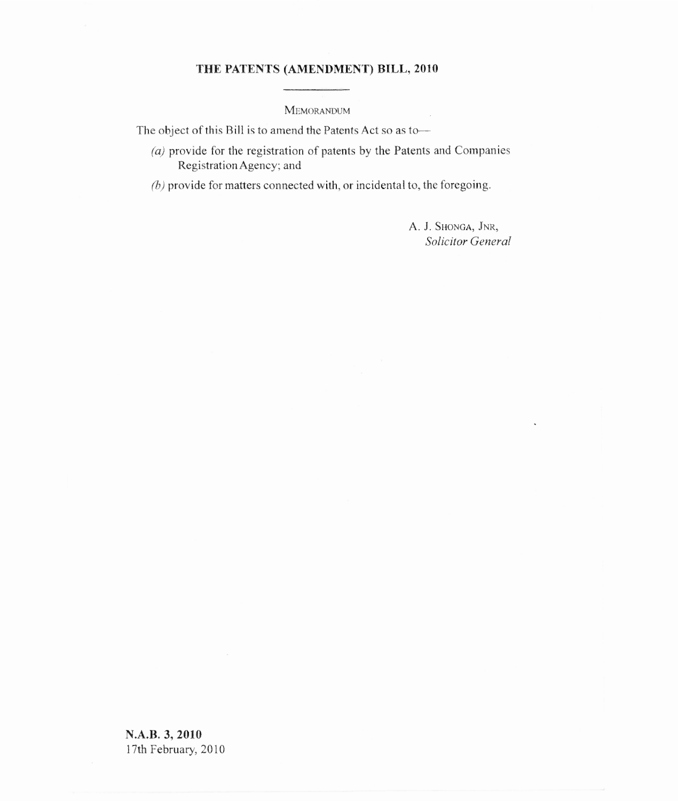## **THE PATENTS (AMENDMENT) BILL, 2010**

MEMORANDUM

The object of this Bill is to amend the Patents Act so as to—

- $(a)$  provide for the registration of patents by the Patents and Companies Registration Agency; and
- $(b)$  provide for matters connected with, or incidental to, the foregoing.

A. J. SHONGA, JNR, *Solicitor General*

 $\sim$ 

**N.A.B. 3, 2010** 17th February, 2010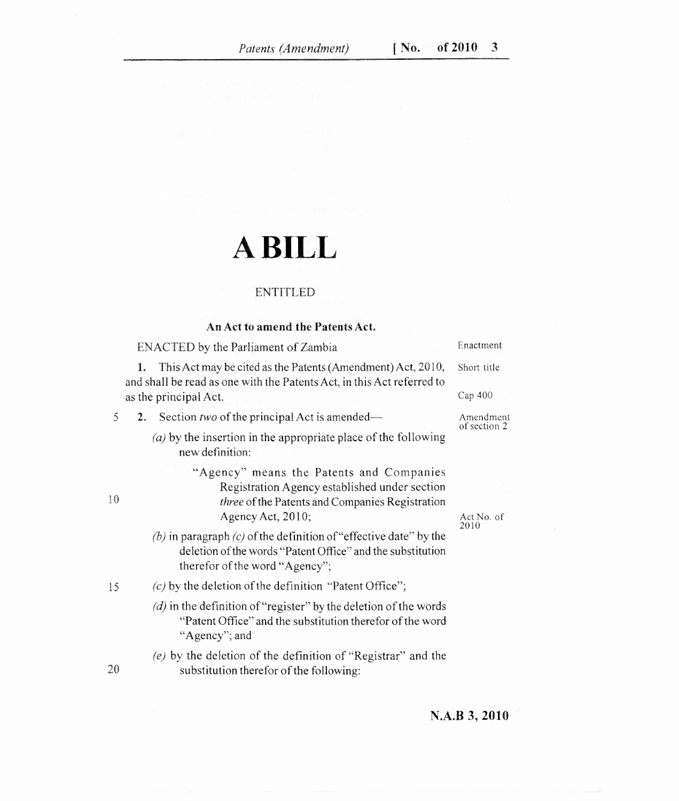# **A BILL**

### ENTITLED

### **An Act to amend the Patents Act.**

ENACTED by the Parliament of Zambia Enactment 1. This Act may be cited as the Patents (Amendment) Act, 2010, Short title and shall be read as one with the Patents Act, in this Act referred to as the principal Act. Cap 400 5 2. Section *two* of the principal Act is amended— Amendment of section 2  $(a)$  by the insertion in the appropriate place of the following new definition: "Agency" means the Patents and Companies Registration Agency established under section 10 *three* of the Patents and Companies Registration Agency Act, 2010;  $(b)$  in paragraph  $(c)$  of the definition of "effective date" by the deletion of the words "Patent Office" and the substitution therefor of the word "Agency"; 15 *(c)* by the deletion of the definition "Patent Office";  $\mathcal{I}(d)$  in the definition of "register" by the deletion of the words "Patent Office" and the substitution therefor of the word "Agency"; and  $(e)$  by the deletion of the definition of "Registrar" and the 2010

20 substitution therefor of the following:

Act No. of

**N.A.B 3, 2010**